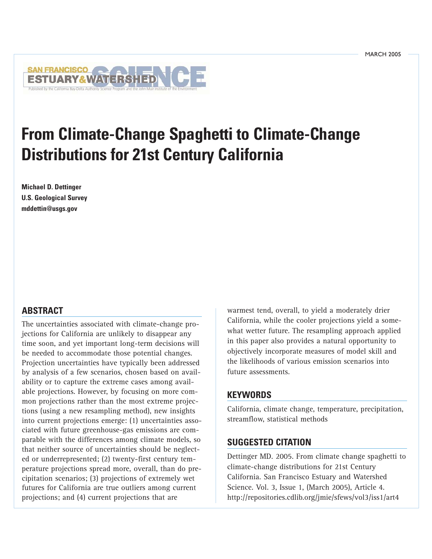

# **From Climate-Change Spaghetti to Climate-Change Distributions for 21st Century California**

**Michael D. Dettinger U.S. Geological Survey mddettin@usgs.gov**

## **ABSTRACT**

The uncertainties associated with climate-change projections for California are unlikely to disappear any time soon, and yet important long-term decisions will be needed to accommodate those potential changes. Projection uncertainties have typically been addressed by analysis of a few scenarios, chosen based on availability or to capture the extreme cases among available projections. However, by focusing on more common projections rather than the most extreme projections (using a new resampling method), new insights into current projections emerge: (1) uncertainties associated with future greenhouse-gas emissions are comparable with the differences among climate models, so that neither source of uncertainties should be neglected or underrepresented; (2) twenty-first century temperature projections spread more, overall, than do precipitation scenarios; (3) projections of extremely wet futures for California are true outliers among current projections; and (4) current projections that are

warmest tend, overall, to yield a moderately drier California, while the cooler projections yield a somewhat wetter future. The resampling approach applied in this paper also provides a natural opportunity to objectively incorporate measures of model skill and the likelihoods of various emission scenarios into future assessments.

## **KEYWORDS**

California, climate change, temperature, precipitation, streamflow, statistical methods

## **SUGGESTED CITATION**

Dettinger MD. 2005. From climate change spaghetti to climate-change distributions for 21st Century California. San Francisco Estuary and Watershed Science. Vol. 3, Issue 1, (March 2005), Article 4. <http://repositories.cdlib.org/jmie/sfews/vol3/iss1/art4>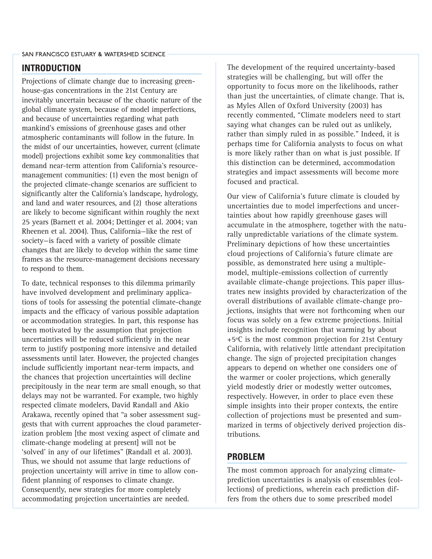## **INTRODUCTION**

Projections of climate change due to increasing greenhouse-gas concentrations in the 21st Century are inevitably uncertain because of the chaotic nature of the global climate system, because of model imperfections, and because of uncertainties regarding what path mankind's emissions of greenhouse gases and other atmospheric contaminants will follow in the future. In the midst of our uncertainties, however, current (climate model) projections exhibit some key commonalities that demand near-term attention from California's resourcemanagement communities: (1) even the most benign of the projected climate-change scenarios are sufficient to significantly alter the California's landscape, hydrology, and land and water resources, and (2) those alterations are likely to become significant within roughly the next 25 years (Barnett et al. 2004; Dettinger et al. 2004; van Rheenen et al. 2004). Thus, California—like the rest of society—is faced with a variety of possible climate changes that are likely to develop within the same time frames as the resource-management decisions necessary to respond to them.

To date, technical responses to this dilemma primarily have involved development and preliminary applications of tools for assessing the potential climate-change impacts and the efficacy of various possible adaptation or accommodation strategies. In part, this response has been motivated by the assumption that projection uncertainties will be reduced sufficiently in the near term to justify postponing more intensive and detailed assessments until later. However, the projected changes include sufficiently important near-term impacts, and the chances that projection uncertainties will decline precipitously in the near term are small enough, so that delays may not be warranted. For example, two highly respected climate modelers, David Randall and Akio Arakawa, recently opined that "a sober assessment suggests that with current approaches the cloud parameterization problem [the most vexing aspect of climate and climate-change modeling at present] will not be 'solved' in any of our lifetimes" (Randall et al. 2003). Thus, we should not assume that large reductions of projection uncertainty will arrive in time to allow confident planning of responses to climate change. Consequently, new strategies for more completely accommodating projection uncertainties are needed.

The development of the required uncertainty-based strategies will be challenging, but will offer the opportunity to focus more on the likelihoods, rather than just the uncertainties, of climate change. That is, as Myles Allen of Oxford University (2003) has recently commented, "Climate modelers need to start saying what changes can be ruled out as unlikely, rather than simply ruled in as possible." Indeed, it is perhaps time for California analysts to focus on what is more likely rather than on what is just possible. If this distinction can be determined, accommodation strategies and impact assessments will become more focused and practical.

Our view of California's future climate is clouded by uncertainties due to model imperfections and uncertainties about how rapidly greenhouse gases will accumulate in the atmosphere, together with the naturally unpredictable variations of the climate system. Preliminary depictions of how these uncertainties cloud projections of California's future climate are possible, as demonstrated here using a multiplemodel, multiple-emissions collection of currently available climate-change projections. This paper illustrates new insights provided by characterization of the overall distributions of available climate-change projections, insights that were not forthcoming when our focus was solely on a few extreme projections. Initial insights include recognition that warming by about +5ºC is the most common projection for 21st Century California, with relatively little attendant precipitation change. The sign of projected precipitation changes appears to depend on whether one considers one of the warmer or cooler projections, which generally yield modestly drier or modestly wetter outcomes, respectively. However, in order to place even these simple insights into their proper contexts, the entire collection of projections must be presented and summarized in terms of objectively derived projection distributions.

## **PROBLEM**

The most common approach for analyzing climateprediction uncertainties is analysis of ensembles (collections) of predictions, wherein each prediction differs from the others due to some prescribed model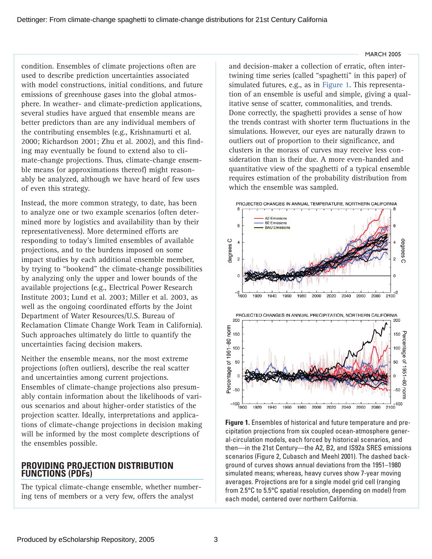<span id="page-2-0"></span>condition. Ensembles of climate projections often are used to describe prediction uncertainties associated with model constructions, initial conditions, and future emissions of greenhouse gases into the global atmosphere. In weather- and climate-prediction applications, several studies have argued that ensemble means are better predictors than are any individual members of the contributing ensembles (e.g., Krishnamurti et al. 2000; Richardson 2001; Zhu et al. 2002), and this finding may eventually be found to extend also to climate-change projections. Thus, climate-change ensemble means (or approximations thereof) might reasonably be analyzed, although we have heard of few uses of even this strategy.

Instead, the more common strategy, to date, has been to analyze one or two example scenarios (often determined more by logistics and availability than by their representativeness). More determined efforts are responding to today's limited ensembles of available projections, and to the burdens imposed on some impact studies by each additional ensemble member, by trying to "bookend" the climate-change possibilities by analyzing only the upper and lower bounds of the available projections (e.g., Electrical Power Research Institute 2003; Lund et al. 2003; Miller et al. 2003, as well as the ongoing coordinated efforts by the Joint Department of Water Resources/U.S. Bureau of Reclamation Climate Change Work Team in California). Such approaches ultimately do little to quantify the uncertainties facing decision makers.

Neither the ensemble means, nor the most extreme projections (often outliers), describe the real scatter and uncertainties among current projections. Ensembles of climate-change projections also presumably contain information about the likelihoods of various scenarios and about higher-order statistics of the projection scatter. Ideally, interpretations and applications of climate-change projections in decision making will be informed by the most complete descriptions of the ensembles possible.

## **PROVIDING PROJECTION DISTRIBUTION FUNCTIONS (PDFs)**

The typical climate-change ensemble, whether numbering tens of members or a very few, offers the analyst

and decision-maker a collection of erratic, often intertwining time series (called "spaghetti" in this paper) of simulated futures, e.g., as in Figure 1. This representation of an ensemble is useful and simple, giving a qualitative sense of scatter, commonalities, and trends. Done correctly, the spaghetti provides a sense of how the trends contrast with shorter term fluctuations in the simulations. However, our eyes are naturally drawn to outliers out of proportion to their significance, and clusters in the morass of curves may receive less consideration than is their due. A more even-handed and quantitative view of the spaghetti of a typical ensemble requires estimation of the probability distribution from which the ensemble was sampled.



**Figure 1.** Ensembles of historical and future temperature and precipitation projections from six coupled ocean-atmosphere general-circulation models, each forced by historical scenarios, and then—in the 21st Century—the A2, B2, and IS92a SRES emissions scenarios (Figure 2, Cubasch and Meehl 2001). The dashed background of curves shows annual deviations from the 1951–1980 simulated means; whereas, heavy curves show 7-year moving averages. Projections are for a single model grid cell (ranging from 2.5°C to 5.5°C spatial resolution, depending on model) from each model, centered over northern California.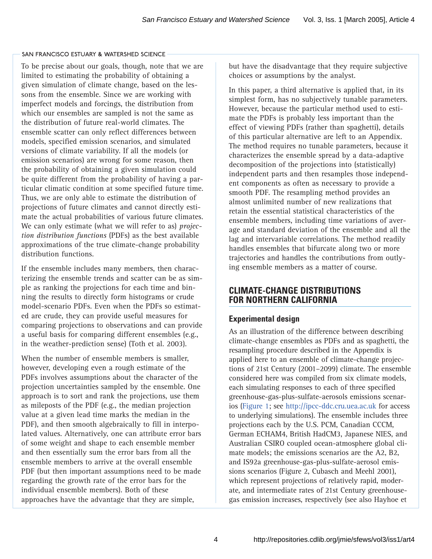To be precise about our goals, though, note that we are limited to estimating the probability of obtaining a given simulation of climate change, based on the lessons from the ensemble. Since we are working with imperfect models and forcings, the distribution from which our ensembles are sampled is not the same as the distribution of future real-world climates. The ensemble scatter can only reflect differences between models, specified emission scenarios, and simulated versions of climate variability. If all the models (or emission scenarios) are wrong for some reason, then the probability of obtaining a given simulation could be quite different from the probability of having a particular climatic condition at some specified future time. Thus, we are only able to estimate the distribution of projections of future climates and cannot directly estimate the actual probabilities of various future climates. We can only estimate (what we will refer to as) *projection distribution functions* (PDFs) as the best available approximations of the true climate-change probability distribution functions.

If the ensemble includes many members, then characterizing the ensemble trends and scatter can be as simple as ranking the projections for each time and binning the results to directly form histograms or crude model-scenario PDFs. Even when the PDFs so estimated are crude, they can provide useful measures for comparing projections to observations and can provide a useful basis for comparing different ensembles (e.g., in the weather-prediction sense) (Toth et al. 2003).

When the number of ensemble members is smaller, however, developing even a rough estimate of the PDFs involves assumptions about the character of the projection uncertainties sampled by the ensemble. One approach is to sort and rank the projections, use them as mileposts of the PDF (e.g., the median projection value at a given lead time marks the median in the PDF), and then smooth algebraically to fill in interpolated values. Alternatively, one can attribute error bars of some weight and shape to each ensemble member and then essentially sum the error bars from all the ensemble members to arrive at the overall ensemble PDF (but then important assumptions need to be made regarding the growth rate of the error bars for the individual ensemble members). Both of these approaches have the advantage that they are simple,

but have the disadvantage that they require subjective choices or assumptions by the analyst.

In this paper, a third alternative is applied that, in its simplest form, has no subjectively tunable parameters. However, because the particular method used to estimate the PDFs is probably less important than the effect of viewing PDFs (rather than spaghetti), details of this particular alternative are left to an Appendix. The method requires no tunable parameters, because it characterizes the ensemble spread by a data-adaptive decomposition of the projections into (statistically) independent parts and then resamples those independent components as often as necessary to provide a smooth PDF. The resampling method provides an almost unlimited number of new realizations that retain the essential statistical characteristics of the ensemble members, including time variations of average and standard deviation of the ensemble and all the lag and intervariable correlations. The method readily handles ensembles that bifurcate along two or more trajectories and handles the contributions from outlying ensemble members as a matter of course.

## **CLIMATE-CHANGE DISTRIBUTIONS FOR NORTHERN CALIFORNIA**

## **Experimental design**

As an illustration of the difference between describing climate-change ensembles as PDFs and as spaghetti, the resampling procedure described in the Appendix is applied here to an ensemble of climate-change projections of 21st Century (2001–2099) climate. The ensemble considered here was compiled from six climate models, each simulating responses to each of three specified greenhouse-gas-plus-sulfate-aerosols emissions scenarios ([Figure 1; see http://ipcc-ddc.cru.uea.ac.uk](http://ipcc-ddc.cru.uea.ac.uk) for access to underlying simulations). The ensemble includes three projections each by the U.S. PCM, Canadian CCCM, German ECHAM4, British HadCM3, Japanese NIES, and Australian CSIRO coupled ocean-atmosphere global climate models; the emissions scenarios are the A2, B2, and IS92a greenhouse-gas-plus-sulfate-aerosol emissions scenarios (Figure 2, Cubasch and Meehl 2001), which represent projections of relatively rapid, moderate, and intermediate rates of 21st Century greenhousegas emission increases, respectively (see also Hayhoe et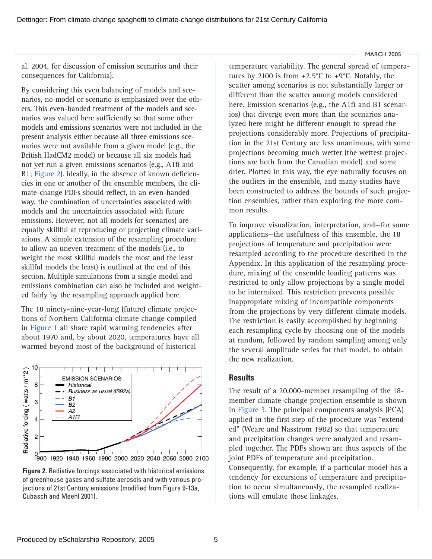al. 2004, for discussion of emission scenarios and their consequences for California).

By considering this even balancing of models and scenarios, no model or scenario is emphasized over the others. This even-handed treatment of the models and scenarios was valued here sufficiently so that some other models and emissions scenarios were not included in the present analysis either because all three emissions scenarios were not available from a given model (e.g., the British HadCM2 model) or because all six models had not yet run a given emissions scenarios (e.g., A1fi and B1; Figure 2). Ideally, in the absence of known deficiencies in one or another of the ensemble members, the climate-change PDFs should reflect, in an even-handed way, the combination of uncertainties associated with models and the uncertainties associated with future emissions. However, not all models (or scenarios) are equally skillful at reproducing or projecting climate variations. A simple extension of the resampling procedure to allow an uneven treatment of the models (i.e., to weight the most skillful models the most and the least skillful models the least) is outlined at the end of this section. Multiple simulations from a single model and emissions combination can also be included and weighted fairly by the resampling approach applied here.

The 18 ninety-nine-year-long (future) climate projections of Northern California climate change compiled in [Figure 1](#page-2-0) all share rapid warming tendencies after about 1970 and, by about 2020, temperatures have all warmed beyond most of the background of historical



**Figure 2.** Radiative forcings associated with historical emissions of greenhouse gases and sulfate aerosols and with various projections of 21st Century emissions (modified from Figure 9-13a, Cubasch and Meehl 2001).

temperature variability. The general spread of temperatures by 2100 is from  $+2.5^{\circ}$ C to  $+9^{\circ}$ C. Notably, the scatter among scenarios is not substantially larger or different than the scatter among models considered here. Emission scenarios (e.g., the A1fi and B1 scenarios) that diverge even more than the scenarios analyzed here might be different enough to spread the projections considerably more. Projections of precipitation in the 21st Century are less unanimous, with some projections becoming much wetter (the wettest projections are both from the Canadian model) and some drier. Plotted in this way, the eye naturally focuses on the outliers in the ensemble, and many studies have been constructed to address the bounds of such projection ensembles, rather than exploring the more common results.

To improve visualization, interpretation, and—for some applications—the usefulness of this ensemble, the 18 projections of temperature and precipitation were resampled according to the procedure described in the Appendix. In this application of the resampling procedure, mixing of the ensemble loading patterns was restricted to only allow projections by a single model to be intermixed. This restriction prevents possible inappropriate mixing of incompatible components from the projections by very different climate models. The restriction is easily accomplished by beginning each resampling cycle by choosing one of the models at random, followed by random sampling among only the several amplitude series for that model, to obtain the new realization.

### **Results**

The result of a 20,000-member resampling of the 18 member climate-change projection ensemble is shown in [Figure 3. T](#page-5-0)he principal components analysis (PCA) applied in the first step of the procedure was "extended" (Weare and Nasstrom 1982) so that temperature and precipitation changes were analyzed and resampled together. The PDFs shown are thus aspects of the joint PDFs of temperature and precipitation. Consequently, for example, if a particular model has a tendency for excursions of temperature and precipitation to occur simultaneously, the resampled realizations will emulate those linkages.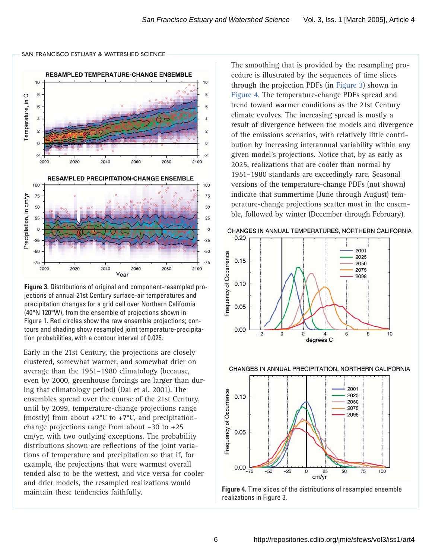<span id="page-5-0"></span>

**Figure 3.** Distributions of original and component-resampled projections of annual 21st Century surface-air temperatures and precipitation changes for a grid cell over Northern California (40°N 120°W), from the ensemble of projections shown in Figure 1. Red circles show the raw ensemble projections; contours and shading show resampled joint temperature-precipitation probabilities, with a contour interval of 0.025.

Early in the 21st Century, the projections are closely clustered, somewhat warmer, and somewhat drier on average than the 1951–1980 climatology (because, even by 2000, greenhouse forcings are larger than during that climatology period) (Dai et al. 2001). The ensembles spread over the course of the 21st Century, until by 2099, temperature-change projections range (mostly) from about  $+2^{\circ}$ C to  $+7^{\circ}$ C, and precipitationchange projections range from about –30 to +25 cm/yr, with two outlying exceptions. The probability distributions shown are reflections of the joint variations of temperature and precipitation so that if, for example, the projections that were warmest overall tended also to be the wettest, and vice versa for cooler and drier models, the resampled realizations would maintain these tendencies faithfully.

The smoothing that is provided by the resampling procedure is illustrated by the sequences of time slices through the projection PDFs (in Figure 3) shown in Figure 4. The temperature-change PDFs spread and trend toward warmer conditions as the 21st Century climate evolves. The increasing spread is mostly a result of divergence between the models and divergence of the emissions scenarios, with relatively little contribution by increasing interannual variability within any given model's projections. Notice that, by as early as 2025, realizations that are cooler than normal by 1951–1980 standards are exceedingly rare. Seasonal versions of the temperature-change PDFs (not shown) indicate that summertime (June through August) temperature-change projections scatter most in the ensemble, followed by winter (December through February).

#### CHANGES IN ANNUAL TEMPERATURES, NORTHERN CALIFORNIA



CHANGES IN ANNUAL PRECIPITATION, NORTHERN CALIFORNIA



**Figure 4.** Time slices of the distributions of resampled ensemble realizations in Figure 3.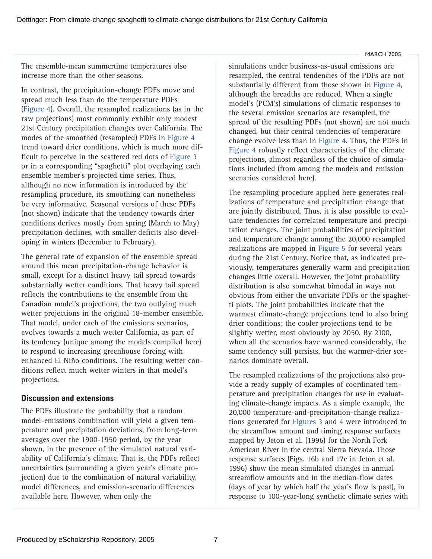The ensemble-mean summertime temperatures also increase more than the other seasons.

In contrast, the precipitation-change PDFs move and spread much less than do the temperature PDFs [\(Figure 4\).](#page-5-0) Overall, the resampled realizations (as in the raw projections) most commonly exhibit only modest 21st Century precipitation changes over California. The modes of the smoothed (resampled) PDFs i[n Figure 4](#page-5-0) trend toward drier conditions, which is much more difficult to perceive in the scattered red dots o[f Figure 3](#page-5-0) or in a corresponding "spaghetti" plot overlaying each ensemble member's projected time series. Thus, although no new information is introduced by the resampling procedure, its smoothing can nonetheless be very informative. Seasonal versions of these PDFs (not shown) indicate that the tendency towards drier conditions derives mostly from spring (March to May) precipitation declines, with smaller deficits also developing in winters (December to February).

The general rate of expansion of the ensemble spread around this mean precipitation-change behavior is small, except for a distinct heavy tail spread towards substantially wetter conditions. That heavy tail spread reflects the contributions to the ensemble from the Canadian model's projections, the two outlying much wetter projections in the original 18-member ensemble. That model, under each of the emissions scenarios, evolves towards a much wetter California, as part of its tendency (unique among the models compiled here) to respond to increasing greenhouse forcing with enhanced El Niño conditions. The resulting wetter conditions reflect much wetter winters in that model's projections.

# **Discussion and extensions**

The PDFs illustrate the probability that a random model-emissions combination will yield a given temperature and precipitation deviations, from long-term averages over the 1900-1950 period, by the year shown, in the presence of the simulated natural variability of California's climate. That is, the PDFs reflect uncertainties (surrounding a given year's climate projection) due to the combination of natural variability, model differences, and emission-scenario differences available here. However, when only the

simulations under business-as-usual emissions are resampled, the central tendencies of the PDFs are not substantially different from those shown in [Figure 4,](#page-5-0) although the breadths are reduced. When a single model's (PCM's) simulations of climatic responses to the several emission scenarios are resampled, the spread of the resulting PDFs (not shown) are not much changed, but their central tendencies of temperature change evolve less than in [Figure 4.](#page-5-0) Thus, the PDFs in [Figure 4](#page-5-0) robustly reflect characteristics of the climate projections, almost regardless of the choice of simulations included (from among the models and emission scenarios considered here).

The resampling procedure applied here generates realizations of temperature and precipitation change that are jointly distributed. Thus, it is also possible to evaluate tendencies for correlated temperature and precipitation changes. The joint probabilities of precipitation and temperature change among the 20,000 resampled realizations are mapped i[n Figure 5](#page-7-0) for several years during the 21st Century. Notice that, as indicated previously, temperatures generally warm and precipitation changes little overall. However, the joint probability distribution is also somewhat bimodal in ways not obvious from either the unvariate PDFs or the spaghetti plots. The joint probabilities indicate that the warmest climate-change projections tend to also bring drier conditions; the cooler projections tend to be slightly wetter, most obviously by 2050. By 2100, when all the scenarios have warmed considerably, the same tendency still persists, but the warmer-drier scenarios dominate overall.

The resampled realizations of the projections also provide a ready supply of examples of coordinated temperature and precipitation changes for use in evaluating climate-change impacts. As a simple example, the 20,000 temperature-and-precipitation-change realizations generated fo[r Figures 3](#page-5-0) and 4 were introduced to the streamflow amount and timing response surfaces mapped by Jeton et al. (1996) for the North Fork American River in the central Sierra Nevada. Those response surfaces (Figs. 16b and 17c in Jeton et al. 1996) show the mean simulated changes in annual streamflow amounts and in the median-flow dates (days of year by which half the year's flow is past), in response to 100-year-long synthetic climate series with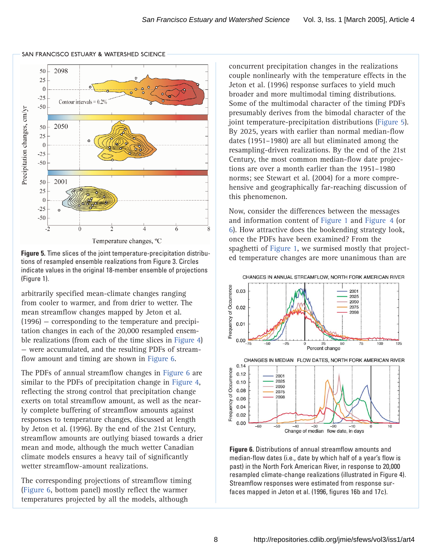<span id="page-7-0"></span>

Temperature changes, °C

**Figure 5.** Time slices of the joint temperature-precipitation distributions of resampled ensemble realizations from Figure 3. Circles indicate values in the original 18-member ensemble of projections (Figure 1).

arbitrarily specified mean-climate changes ranging from cooler to warmer, and from drier to wetter. The mean streamflow changes mapped by Jeton et al. (1996) — corresponding to the temperature and precipitation changes in each of the 20,000 resampled ensemble realizations (from each of the time slices i[n Figure 4\)](#page-5-0) — were accumulated, and the resulting PDFs of streamflow amount and timing are shown in Figure 6.

The PDFs of annual streamflow changes in Figure 6 are similar to the PDFs of precipitation change i[n Figure 4,](#page-5-0) reflecting the strong control that precipitation change exerts on total streamflow amount, as well as the nearly complete buffering of streamflow amounts against responses to temperature changes, discussed at length by Jeton et al. (1996). By the end of the 21st Century, streamflow amounts are outlying biased towards a drier mean and mode, although the much wetter Canadian climate models ensures a heavy tail of significantly wetter streamflow-amount realizations.

The corresponding projections of streamflow timing (Figure 6, bottom panel) mostly reflect the warmer temperatures projected by all the models, although

concurrent precipitation changes in the realizations couple nonlinearly with the temperature effects in the Jeton et al. (1996) response surfaces to yield much broader and more multimodal timing distributions. Some of the multimodal character of the timing PDFs presumably derives from the bimodal character of the joint temperature-precipitation distributions (Figure 5). By 2025, years with earlier than normal median-flow dates (1951–1980) are all but eliminated among the resampling-driven realizations. By the end of the 21st Century, the most common median-flow date projections are over a month earlier than the 1951–1980 norms; see Stewart et al. (2004) for a more comprehensive and geographically far-reaching discussion of this phenomenon.

Now, consider the differences between the messages and information content o[f Figure 1](#page-2-0) an[d Figure 4](#page-5-0) (or 6). How attractive does the bookending strategy look, once the PDFs have been examined? From the spaghetti of [Figure 1,](#page-2-0) we surmised mostly that projected temperature changes are more unanimous than are



**Figure 6.** Distributions of annual streamflow amounts and median-flow dates (i.e., date by which half of a year's flow is past) in the North Fork American River, in response to 20,000 resampled climate-change realizations (illustrated in Figure 4). Streamflow responses were estimated from response surfaces mapped in Jeton et al. (1996, figures 16b and 17c).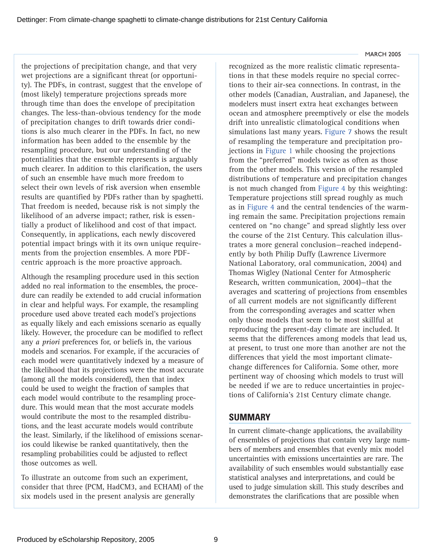the projections of precipitation change, and that very wet projections are a significant threat (or opportunity). The PDFs, in contrast, suggest that the envelope of (most likely) temperature projections spreads more through time than does the envelope of precipitation changes. The less-than-obvious tendency for the mode of precipitation changes to drift towards drier conditions is also much clearer in the PDFs. In fact, no new information has been added to the ensemble by the resampling procedure, but our understanding of the potentialities that the ensemble represents is arguably much clearer. In addition to this clarification, the users of such an ensemble have much more freedom to select their own levels of risk aversion when ensemble results are quantified by PDFs rather than by spaghetti. That freedom is needed, because risk is not simply the likelihood of an adverse impact; rather, risk is essentially a product of likelihood and cost of that impact. Consequently, in applications, each newly discovered potential impact brings with it its own unique requirements from the projection ensembles. A more PDFcentric approach is the more proactive approach.

Although the resampling procedure used in this section added no real information to the ensembles, the procedure can readily be extended to add crucial information in clear and helpful ways. For example, the resampling procedure used above treated each model's projections as equally likely and each emissions scenario as equally likely. However, the procedure can be modified to reflect any *a priori* preferences for, or beliefs in, the various models and scenarios. For example, if the accuracies of each model were quantitatively indexed by a measure of the likelihood that its projections were the most accurate (among all the models considered), then that index could be used to weight the fraction of samples that each model would contribute to the resampling procedure. This would mean that the most accurate models would contribute the most to the resampled distributions, and the least accurate models would contribute the least. Similarly, if the likelihood of emissions scenarios could likewise be ranked quantitatively, then the resampling probabilities could be adjusted to reflect those outcomes as well.

To illustrate an outcome from such an experiment, consider that three (PCM, HadCM3, and ECHAM) of the six models used in the present analysis are generally

#### MARCH 2005

recognized as the more realistic climatic representations in that these models require no special corrections to their air-sea connections. In contrast, in the other models (Canadian, Australian, and Japanese), the modelers must insert extra heat exchanges between ocean and atmosphere preemptively or else the models drift into unrealistic climatological conditions when simulations last many year[s. Figure 7](#page-9-0) shows the result of resampling the temperature and precipitation projections i[n Figure 1 w](#page-2-0)hile choosing the projections from the "preferred" models twice as often as those from the other models. This version of the resampled distributions of temperature and precipitation changes is not much changed fro[m Figure 4](#page-5-0) by this weighting: Temperature projections still spread roughly as much as in [Figure 4](#page-5-0) and the central tendencies of the warming remain the same. Precipitation projections remain centered on "no change" and spread slightly less over the course of the 21st Century. This calculation illustrates a more general conclusion—reached independently by both Philip Duffy (Lawrence Livermore National Laboratory, oral communication, 2004) and Thomas Wigley (National Center for Atmospheric Research, written communication, 2004)—that the averages and scattering of projections from ensembles of all current models are not significantly different from the corresponding averages and scatter when only those models that seem to be most skillful at reproducing the present-day climate are included. It seems that the differences among models that lead us, at present, to trust one more than another are not the differences that yield the most important climatechange differences for California. Some other, more pertinent way of choosing which models to trust will be needed if we are to reduce uncertainties in projections of California's 21st Century climate change.

## **SUMMARY**

In current climate-change applications, the availability of ensembles of projections that contain very large numbers of members and ensembles that evenly mix model uncertainties with emissions uncertainties are rare. The availability of such ensembles would substantially ease statistical analyses and interpretations, and could be used to judge simulation skill. This study describes and demonstrates the clarifications that are possible when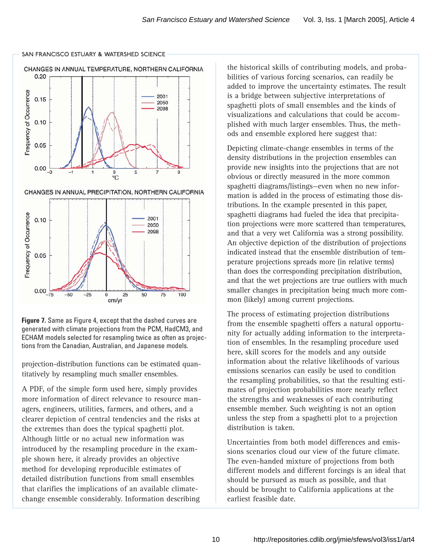<span id="page-9-0"></span>



CHANGES IN ANNUAL PRECIPITATION, NORTHERN CALIFORNIA



**Figure 7.** Same as Figure 4, except that the dashed curves are generated with climate projections from the PCM, HadCM3, and ECHAM models selected for resampling twice as often as projections from the Canadian, Australian, and Japanese models.

projection-distribution functions can be estimated quantitatively by resampling much smaller ensembles.

A PDF, of the simple form used here, simply provides more information of direct relevance to resource managers, engineers, utilities, farmers, and others, and a clearer depiction of central tendencies and the risks at the extremes than does the typical spaghetti plot. Although little or no actual new information was introduced by the resampling procedure in the example shown here, it already provides an objective method for developing reproducible estimates of detailed distribution functions from small ensembles that clarifies the implications of an available climatechange ensemble considerably. Information describing

the historical skills of contributing models, and probabilities of various forcing scenarios, can readily be added to improve the uncertainty estimates. The result is a bridge between subjective interpretations of spaghetti plots of small ensembles and the kinds of visualizations and calculations that could be accomplished with much larger ensembles. Thus, the methods and ensemble explored here suggest that:

Depicting climate-change ensembles in terms of the density distributions in the projection ensembles can provide new insights into the projections that are not obvious or directly measured in the more common spaghetti diagrams/listings—even when no new information is added in the process of estimating those distributions. In the example presented in this paper, spaghetti diagrams had fueled the idea that precipitation projections were more scattered than temperatures, and that a very wet California was a strong possibility. An objective depiction of the distribution of projections indicated instead that the ensemble distribution of temperature projections spreads more (in relative terms) than does the corresponding precipitation distribution, and that the wet projections are true outliers with much smaller changes in precipitation being much more common (likely) among current projections.

The process of estimating projection distributions from the ensemble spaghetti offers a natural opportunity for actually adding information to the interpretation of ensembles. In the resampling procedure used here, skill scores for the models and any outside information about the relative likelihoods of various emissions scenarios can easily be used to condition the resampling probabilities, so that the resulting estimates of projection probabilities more nearly reflect the strengths and weaknesses of each contributing ensemble member. Such weighting is not an option unless the step from a spaghetti plot to a projection distribution is taken.

Uncertainties from both model differences and emissions scenarios cloud our view of the future climate. The even-handed mixture of projections from both different models and different forcings is an ideal that should be pursued as much as possible, and that should be brought to California applications at the earliest feasible date.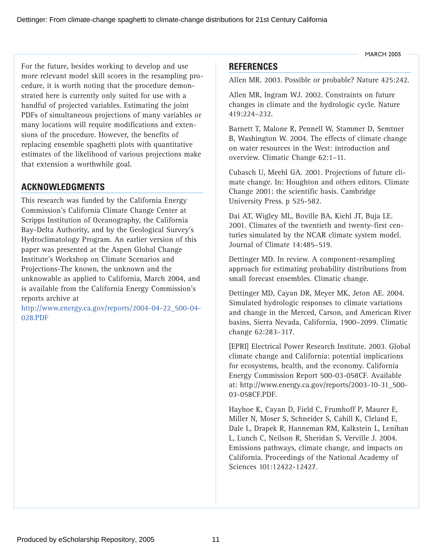Dettinger: From climate-change spaghetti to climate-change distributions for 21st Century California

For the future, besides working to develop and use more relevant model skill scores in the resampling procedure, it is worth noting that the procedure demonstrated here is currently only suited for use with a handful of projected variables. Estimating the joint PDFs of simultaneous projections of many variables or many locations will require modifications and extensions of the procedure. However, the benefits of replacing ensemble spaghetti plots with quantitative estimates of the likelihood of various projections make that extension a worthwhile goal.

# **ACKNOWLEDGMENTS**

This research was funded by the California Energy Commission's California Climate Change Center at Scripps Institution of Oceanography, the California Bay-Delta Authority, and by the Geological Survey's Hydroclimatology Program. An earlier version of this paper was presented at the Aspen Global Change Institute's Workshop on Climate Scenarios and Projections-The known, the unknown and the unknowable as applied to California, March 2004, and is available from the California Energy Commission's reports archive at

[http://www.energy.ca.gov/reports/2004-04-22\\_500-04-](http://www.energy.ca.gov/reports/2004-04-22_500-04-) 028.PDF

## **REFERENCES**

Allen MR. 2003. Possible or probable? Nature 425:242.

Allen MR, Ingram WJ. 2002. Constraints on future changes in climate and the hydrologic cycle. Nature 419:224–232.

Barnett T, Malone R, Pennell W, Stammer D, Semtner B, Washington W. 2004. The effects of climate change on water resources in the West: introduction and overview. Climatic Change 62:1–11.

Cubasch U, Meehl GA. 2001. Projections of future climate change. In: Houghton and others editors. Climate Change 2001: the scientific basis. Cambridge University Press. p 525-582.

Dai AT, Wigley ML, Boville BA, Kiehl JT, Buja LE. 2001. Climates of the twentieth and twenty-first centuries simulated by the NCAR climate system model. Journal of Climate 14:485–519.

Dettinger MD. In review. A component-resampling approach for estimating probability distributions from small forecast ensembles. Climatic change.

Dettinger MD, Cayan DR, Meyer MK, Jeton AE. 2004. Simulated hydrologic responses to climate variations and change in the Merced, Carson, and American River basins, Sierra Nevada, California, 1900–2099. Climatic change 62:283–317.

[EPRI] Electrical Power Research Institute. 2003. Global climate change and California: potential implications for ecosystems, health, and the economy. California Energy Commission Report 500-03-058CF. Available [at: http://www.energy.ca.gov/reports/2003-10-31\\_500-](http://www.energy.ca.gov/reports/2003-10-31_500-) 03-058CF.PDF.

Hayhoe K, Cayan D, Field C, Frumhoff P, Maurer E, Miller N, Moser S, Schneider S, Cahill K, Cleland E, Dale L, Drapek R, Hanneman RM, Kalkstein L, Lenihan L, Lunch C, Neilson R, Sheridan S, Verville J. 2004. Emissions pathways, climate change, and impacts on California. Proceedings of the National Academy of Sciences 101:12422-12427.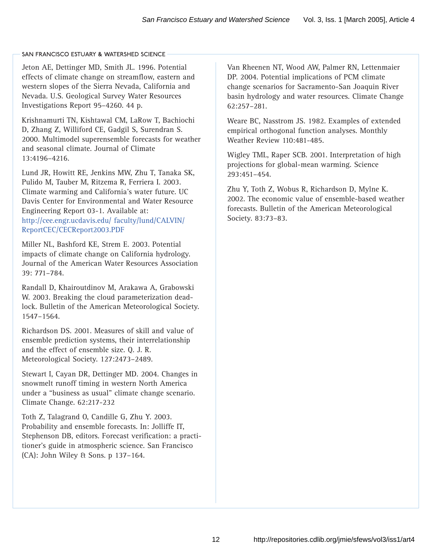Jeton AE, Dettinger MD, Smith JL. 1996. Potential effects of climate change on streamflow, eastern and western slopes of the Sierra Nevada, California and Nevada. U.S. Geological Survey Water Resources Investigations Report 95–4260. 44 p.

Krishnamurti TN, Kishtawal CM, LaRow T, Bachiochi D, Zhang Z, Williford CE, Gadgil S, Surendran S. 2000. Multimodel superensemble forecasts for weather and seasonal climate. Journal of Climate 13:4196–4216.

Lund JR, Howitt RE, Jenkins MW, Zhu T, Tanaka SK, Pulido M, Tauber M, Ritzema R, Ferriera I. 2003. Climate warming and California's water future. UC Davis Center for Environmental and Water Resource Engineering Report 03-1. Available at: [http://cee.engr.ucdavis.edu/ faculty/lund/CALVIN/](http://cee.engr.ucdavis.edu/) ReportCEC/CECReport2003.PDF

Miller NL, Bashford KE, Strem E. 2003. Potential impacts of climate change on California hydrology. Journal of the American Water Resources Association 39: 771–784.

Randall D, Khairoutdinov M, Arakawa A, Grabowski W. 2003. Breaking the cloud parameterization deadlock. Bulletin of the American Meteorological Society. 1547–1564.

Richardson DS. 2001. Measures of skill and value of ensemble prediction systems, their interrelationship and the effect of ensemble size. Q. J. R. Meteorological Society. 127:2473–2489.

Stewart I, Cayan DR, Dettinger MD. 2004. Changes in snowmelt runoff timing in western North America under a "business as usual" climate change scenario. Climate Change. 62:217-232

Toth Z, Talagrand O, Candille G, Zhu Y. 2003. Probability and ensemble forecasts. In: Jolliffe IT, Stephenson DB, editors. Forecast verification: a practitioner's guide in atmospheric science. San Francisco (CA): John Wiley & Sons. p 137–164.

Van Rheenen NT, Wood AW, Palmer RN, Lettenmaier DP. 2004. Potential implications of PCM climate change scenarios for Sacramento-San Joaquin River basin hydrology and water resources. Climate Change 62:257–281.

Weare BC, Nasstrom JS. 1982. Examples of extended empirical orthogonal function analyses. Monthly Weather Review 110:481-485.

Wigley TML, Raper SCB. 2001. Interpretation of high projections for global-mean warming. Science 293:451–454.

Zhu Y, Toth Z, Wobus R, Richardson D, Mylne K. 2002. The economic value of ensemble-based weather forecasts. Bulletin of the American Meteorological Society. 83:73–83.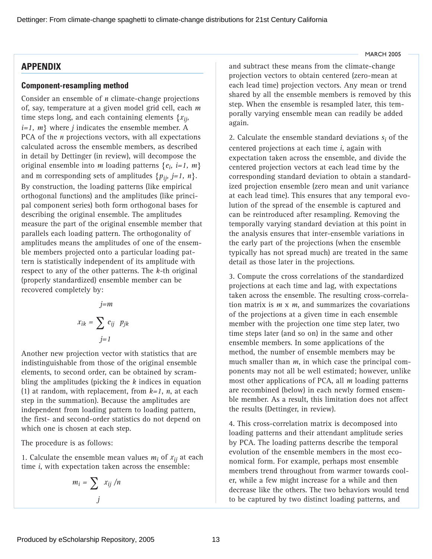## **APPENDIX**

## **Component-resampling method**

Consider an ensemble of *n* climate-change projections of, say, temperature at a given model grid cell, each *m* time steps long, and each containing elements {*xij, i=1, m*} where *j* indicates the ensemble member. A PCA of the *n* projections vectors, with all expectations calculated across the ensemble members, as described in detail by Dettinger (in review), will decompose the original ensemble into *m* loading patterns {*ei, i=1, m*} and m corresponding sets of amplitudes  $\{p_{ij}, j=1, n\}$ . By construction, the loading patterns (like empirical orthogonal functions) and the amplitudes (like principal component series) both form orthogonal bases for describing the original ensemble. The amplitudes measure the part of the original ensemble member that parallels each loading pattern. The orthogonality of amplitudes means the amplitudes of one of the ensemble members projected onto a particular loading pattern is statistically independent of its amplitude with respect to any of the other patterns. The *k-*th original (properly standardized) ensemble member can be recovered completely by:

$$
j=m
$$
  

$$
x_{ik} = \sum_{j=1}^{j=m} e_{ij} p_{jk}
$$

Another new projection vector with statistics that are indistinguishable from those of the original ensemble elements, to second order, can be obtained by scrambling the amplitudes (picking the *k* indices in equation (1) at random, with replacement, from *k=1*, *n*, at each step in the summation). Because the amplitudes are independent from loading pattern to loading pattern, the first- and second-order statistics do not depend on which one is chosen at each step.

The procedure is as follows:

1. Calculate the ensemble mean values  $m_i$  of  $x_{ij}$  at each time *i*, with expectation taken across the ensemble:

$$
m_i = \sum_j x_{ij} / n
$$

and subtract these means from the climate-change projection vectors to obtain centered (zero-mean at each lead time) projection vectors. Any mean or trend shared by all the ensemble members is removed by this step. When the ensemble is resampled later, this temporally varying ensemble mean can readily be added again.

2. Calculate the ensemble standard deviations *si* of the centered projections at each time *i*, again with expectation taken across the ensemble, and divide the centered projection vectors at each lead time by the corresponding standard deviation to obtain a standardized projection ensemble (zero mean and unit variance at each lead time). This ensures that any temporal evolution of the spread of the ensemble is captured and can be reintroduced after resampling. Removing the temporally varying standard deviation at this point in the analysis ensures that inter-ensemble variations in the early part of the projections (when the ensemble typically has not spread much) are treated in the same detail as those later in the projections.

3. Compute the cross correlations of the standardized projections at each time and lag, with expectations taken across the ensemble. The resulting cross-correlation matrix is *m* x *m*, and summarizes the covariations of the projections at a given time in each ensemble member with the projection one time step later, two time steps later (and so on) in the same and other ensemble members. In some applications of the method, the number of ensemble members may be much smaller than *m*, in which case the principal components may not all be well estimated; however, unlike most other applications of PCA, all *m* loading patterns are recombined (below) in each newly formed ensemble member. As a result, this limitation does not affect the results (Dettinger, in review).

4. This cross-correlation matrix is decomposed into loading patterns and their attendant amplitude series by PCA. The loading patterns describe the temporal evolution of the ensemble members in the most economical form. For example, perhaps most ensemble members trend throughout from warmer towards cooler, while a few might increase for a while and then decrease like the others. The two behaviors would tend to be captured by two distinct loading patterns, and